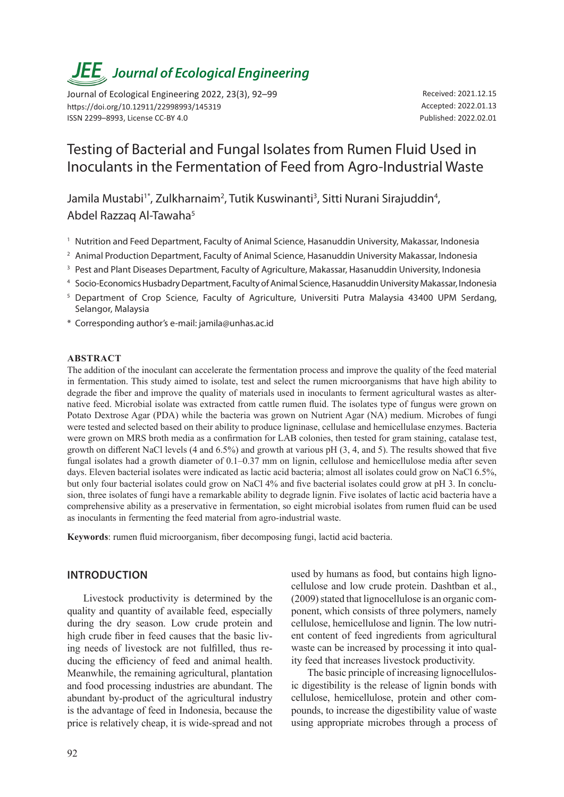# *JEE<sub>,</sub> Journal of Ecological Engineering*

Journal of Ecological Engineering 2022, 23(3), 92–99 https://doi.org/10.12911/22998993/145319 ISSN 2299–8993, License CC-BY 4.0

Received: 2021.12.15 Accepted: 2022.01.13 Published: 2022.02.01

# Testing of Bacterial and Fungal Isolates from Rumen Fluid Used in Inoculants in the Fermentation of Feed from Agro-Industrial Waste

Jamila Mustabi<sup>1\*</sup>, Zulkharnaim<sup>2</sup>, Tutik Kuswinanti<sup>3</sup>, Sitti Nurani Sirajuddin<sup>4</sup>, Abdel Razzaq Al-Tawaha5

- <sup>1</sup> Nutrition and Feed Department, Faculty of Animal Science, Hasanuddin University, Makassar, Indonesia
- <sup>2</sup> Animal Production Department, Faculty of Animal Science, Hasanuddin University Makassar, Indonesia
- <sup>3</sup> Pest and Plant Diseases Department, Faculty of Agriculture, Makassar, Hasanuddin University, Indonesia
- <sup>4</sup> Socio-Economics Husbadry Department, Faculty of Animal Science, Hasanuddin University Makassar, Indonesia
- <sup>5</sup> Department of Crop Science, Faculty of Agriculture, Universiti Putra Malaysia 43400 UPM Serdang, Selangor, Malaysia
- \* Corresponding author's e-mail: jamila@unhas.ac.id

#### **ABSTRACT**

The addition of the inoculant can accelerate the fermentation process and improve the quality of the feed material in fermentation. This study aimed to isolate, test and select the rumen microorganisms that have high ability to degrade the fiber and improve the quality of materials used in inoculants to ferment agricultural wastes as alternative feed. Microbial isolate was extracted from cattle rumen fluid. The isolates type of fungus were grown on Potato Dextrose Agar (PDA) while the bacteria was grown on Nutrient Agar (NA) medium. Microbes of fungi were tested and selected based on their ability to produce ligninase, cellulase and hemicellulase enzymes. Bacteria were grown on MRS broth media as a confirmation for LAB colonies, then tested for gram staining, catalase test, growth on different NaCl levels (4 and 6.5%) and growth at various pH (3, 4, and 5). The results showed that five fungal isolates had a growth diameter of 0.1–0.37 mm on lignin, cellulose and hemicellulose media after seven days. Eleven bacterial isolates were indicated as lactic acid bacteria; almost all isolates could grow on NaCl 6.5%, but only four bacterial isolates could grow on NaCl 4% and five bacterial isolates could grow at pH 3. In conclusion, three isolates of fungi have a remarkable ability to degrade lignin. Five isolates of lactic acid bacteria have a comprehensive ability as a preservative in fermentation, so eight microbial isolates from rumen fluid can be used as inoculants in fermenting the feed material from agro-industrial waste.

**Keywords**: rumen fluid microorganism, fiber decomposing fungi, lactid acid bacteria.

# **INTRODUCTION**

Livestock productivity is determined by the quality and quantity of available feed, especially during the dry season. Low crude protein and high crude fiber in feed causes that the basic living needs of livestock are not fulfilled, thus reducing the efficiency of feed and animal health. Meanwhile, the remaining agricultural, plantation and food processing industries are abundant. The abundant by-product of the agricultural industry is the advantage of feed in Indonesia, because the price is relatively cheap, it is wide-spread and not

used by humans as food, but contains high lignocellulose and low crude protein. Dashtban et al., (2009) stated that lignocellulose is an organic component, which consists of three polymers, namely cellulose, hemicellulose and lignin. The low nutrient content of feed ingredients from agricultural waste can be increased by processing it into quality feed that increases livestock productivity.

The basic principle of increasing lignocellulosic digestibility is the release of lignin bonds with cellulose, hemicellulose, protein and other compounds, to increase the digestibility value of waste using appropriate microbes through a process of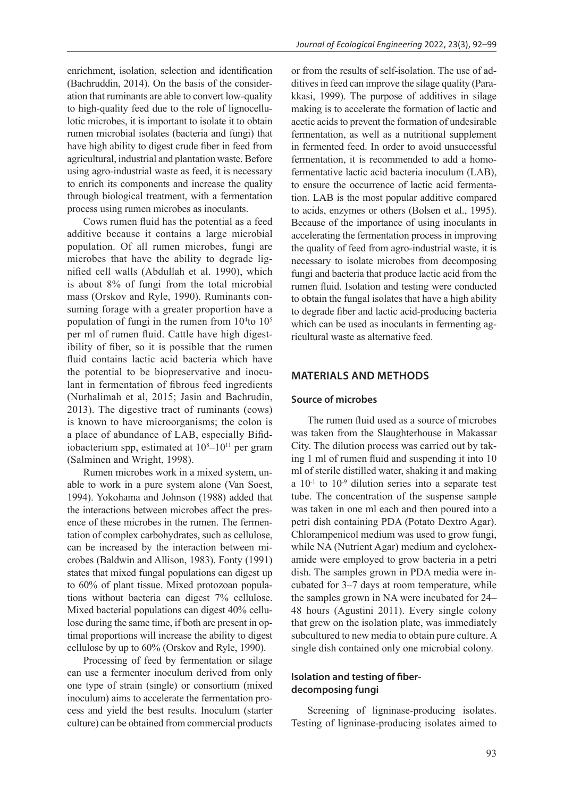enrichment, isolation, selection and identification (Bachruddin, 2014). On the basis of the consideration that ruminants are able to convert low-quality to high-quality feed due to the role of lignocellulotic microbes, it is important to isolate it to obtain rumen microbial isolates (bacteria and fungi) that have high ability to digest crude fiber in feed from agricultural, industrial and plantation waste. Before using agro-industrial waste as feed, it is necessary to enrich its components and increase the quality through biological treatment, with a fermentation process using rumen microbes as inoculants.

Cows rumen fluid has the potential as a feed additive because it contains a large microbial population. Of all rumen microbes, fungi are microbes that have the ability to degrade lignified cell walls (Abdullah et al. 1990), which is about 8% of fungi from the total microbial mass (Orskov and Ryle, 1990). Ruminants consuming forage with a greater proportion have a population of fungi in the rumen from  $10<sup>4</sup>$ to  $10<sup>5</sup>$ per ml of rumen fluid. Cattle have high digestibility of fiber, so it is possible that the rumen fluid contains lactic acid bacteria which have the potential to be biopreservative and inoculant in fermentation of fibrous feed ingredients (Nurhalimah et al, 2015; Jasin and Bachrudin, 2013). The digestive tract of ruminants (cows) is known to have microorganisms; the colon is a place of abundance of LAB, especially Bifidiobacterium spp, estimated at  $10^{8}-10^{11}$  per gram (Salminen and Wright, 1998).

Rumen microbes work in a mixed system, unable to work in a pure system alone (Van Soest, 1994). Yokohama and Johnson (1988) added that the interactions between microbes affect the presence of these microbes in the rumen. The fermentation of complex carbohydrates, such as cellulose, can be increased by the interaction between microbes (Baldwin and Allison, 1983). Fonty (1991) states that mixed fungal populations can digest up to 60% of plant tissue. Mixed protozoan populations without bacteria can digest 7% cellulose. Mixed bacterial populations can digest 40% cellulose during the same time, if both are present in optimal proportions will increase the ability to digest cellulose by up to 60% (Orskov and Ryle, 1990).

Processing of feed by fermentation or silage can use a fermenter inoculum derived from only one type of strain (single) or consortium (mixed inoculum) aims to accelerate the fermentation process and yield the best results. Inoculum (starter culture) can be obtained from commercial products or from the results of self-isolation. The use of additives in feed can improve the silage quality (Parakkasi, 1999). The purpose of additives in silage making is to accelerate the formation of lactic and acetic acids to prevent the formation of undesirable fermentation, as well as a nutritional supplement in fermented feed. In order to avoid unsuccessful fermentation, it is recommended to add a homofermentative lactic acid bacteria inoculum (LAB), to ensure the occurrence of lactic acid fermentation. LAB is the most popular additive compared to acids, enzymes or others (Bolsen et al., 1995). Because of the importance of using inoculants in accelerating the fermentation process in improving the quality of feed from agro-industrial waste, it is necessary to isolate microbes from decomposing fungi and bacteria that produce lactic acid from the rumen fluid. Isolation and testing were conducted to obtain the fungal isolates that have a high ability to degrade fiber and lactic acid-producing bacteria which can be used as inoculants in fermenting agricultural waste as alternative feed.

### **MATERIALS AND METHODS**

### **Source of microbes**

The rumen fluid used as a source of microbes was taken from the Slaughterhouse in Makassar City. The dilution process was carried out by taking 1 ml of rumen fluid and suspending it into 10 ml of sterile distilled water, shaking it and making a  $10^{-1}$  to  $10^{-9}$  dilution series into a separate test tube. The concentration of the suspense sample was taken in one ml each and then poured into a petri dish containing PDA (Potato Dextro Agar). Chlorampenicol medium was used to grow fungi, while NA (Nutrient Agar) medium and cyclohexamide were employed to grow bacteria in a petri dish. The samples grown in PDA media were incubated for 3–7 days at room temperature, while the samples grown in NA were incubated for 24– 48 hours (Agustini 2011). Every single colony that grew on the isolation plate, was immediately subcultured to new media to obtain pure culture. A single dish contained only one microbial colony.

# **Isolation and testing of fiberdecomposing fungi**

Screening of ligninase-producing isolates. Testing of ligninase-producing isolates aimed to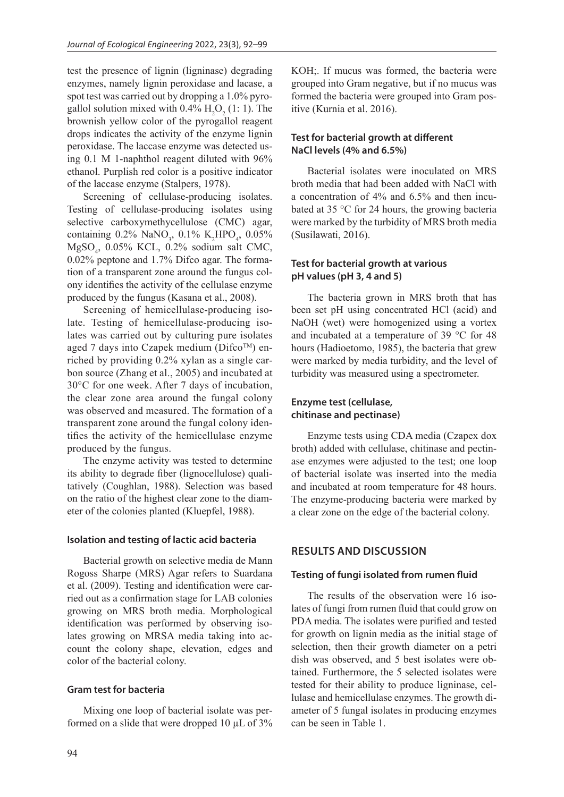test the presence of lignin (ligninase) degrading enzymes, namely lignin peroxidase and lacase, a spot test was carried out by dropping a 1.0% pyrogallol solution mixed with  $0.4\%$  H<sub>2</sub>O<sub>2</sub> (1: 1). The brownish yellow color of the pyrogallol reagent drops indicates the activity of the enzyme lignin peroxidase. The laccase enzyme was detected using 0.1 M 1-naphthol reagent diluted with 96% ethanol. Purplish red color is a positive indicator of the laccase enzyme (Stalpers, 1978).

Screening of cellulase-producing isolates. Testing of cellulase-producing isolates using selective carboxymethycellulose (CMC) agar, containing  $0.2\%$  NaNO<sub>3</sub>,  $0.1\%$  K<sub>2</sub>HPO<sub>4</sub>,  $0.05\%$ MgSO4 , 0.05% KCL, 0.2% sodium salt CMC, 0.02% peptone and 1.7% Difco agar. The formation of a transparent zone around the fungus colony identifies the activity of the cellulase enzyme produced by the fungus (Kasana et al., 2008).

Screening of hemicellulase-producing isolate. Testing of hemicellulase-producing isolates was carried out by culturing pure isolates aged 7 days into Czapek medium ( $\text{Difco}^{\text{TM}}$ ) enriched by providing 0.2% xylan as a single carbon source (Zhang et al., 2005) and incubated at 30°C for one week. After 7 days of incubation, the clear zone area around the fungal colony was observed and measured. The formation of a transparent zone around the fungal colony identifies the activity of the hemicellulase enzyme produced by the fungus.

The enzyme activity was tested to determine its ability to degrade fiber (lignocellulose) qualitatively (Coughlan, 1988). Selection was based on the ratio of the highest clear zone to the diameter of the colonies planted (Kluepfel, 1988).

#### **Isolation and testing of lactic acid bacteria**

Bacterial growth on selective media de Mann Rogoss Sharpe (MRS) Agar refers to Suardana et al. (2009). Testing and identification were carried out as a confirmation stage for LAB colonies growing on MRS broth media. Morphological identification was performed by observing isolates growing on MRSA media taking into account the colony shape, elevation, edges and color of the bacterial colony.

#### **Gram test for bacteria**

Mixing one loop of bacterial isolate was performed on a slide that were dropped 10 µL of 3% KOH;. If mucus was formed, the bacteria were grouped into Gram negative, but if no mucus was formed the bacteria were grouped into Gram positive (Kurnia et al. 2016).

# **Test for bacterial growth at different NaCl levels (4% and 6.5%)**

Bacterial isolates were inoculated on MRS broth media that had been added with NaCl with a concentration of 4% and 6.5% and then incubated at 35 °C for 24 hours, the growing bacteria were marked by the turbidity of MRS broth media (Susilawati, 2016).

### **Test for bacterial growth at various pH values (pH 3, 4 and 5)**

The bacteria grown in MRS broth that has been set pH using concentrated HCl (acid) and NaOH (wet) were homogenized using a vortex and incubated at a temperature of 39 °C for 48 hours (Hadioetomo, 1985), the bacteria that grew were marked by media turbidity, and the level of turbidity was measured using a spectrometer.

# **Enzyme test (cellulase, chitinase and pectinase)**

Enzyme tests using CDA media (Czapex dox broth) added with cellulase, chitinase and pectinase enzymes were adjusted to the test; one loop of bacterial isolate was inserted into the media and incubated at room temperature for 48 hours. The enzyme-producing bacteria were marked by a clear zone on the edge of the bacterial colony.

# **RESULTS AND DISCUSSION**

#### **Testing of fungi isolated from rumen fluid**

The results of the observation were 16 isolates of fungi from rumen fluid that could grow on PDA media. The isolates were purified and tested for growth on lignin media as the initial stage of selection, then their growth diameter on a petri dish was observed, and 5 best isolates were obtained. Furthermore, the 5 selected isolates were tested for their ability to produce ligninase, cellulase and hemicellulase enzymes. The growth diameter of 5 fungal isolates in producing enzymes can be seen in Table 1.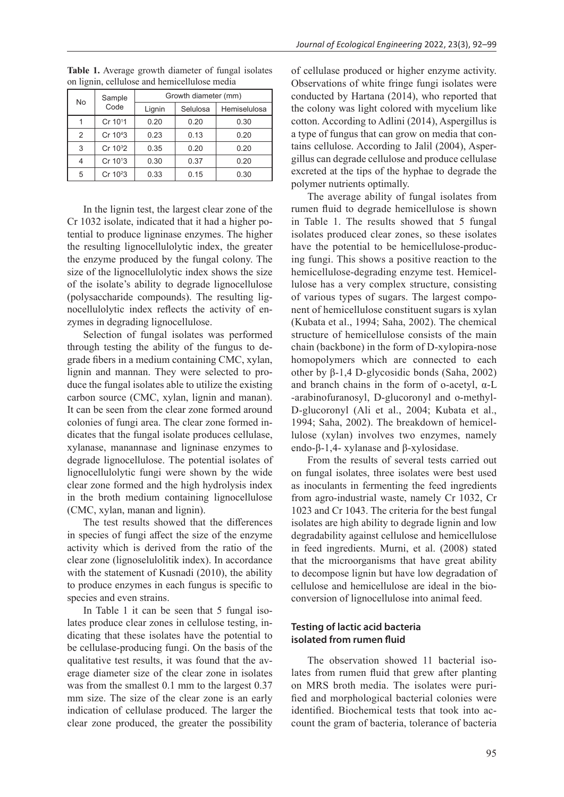| No            | Sample<br>Code       | Growth diameter (mm) |          |              |  |  |
|---------------|----------------------|----------------------|----------|--------------|--|--|
|               |                      | Lignin               | Selulosa | Hemiselulosa |  |  |
|               | Cr 10 <sup>1</sup> 1 | 0.20                 | 0.20     | 0.30         |  |  |
| $\mathcal{P}$ | Cr 10 <sup>4</sup> 3 | 0.23                 | 0.13     | 0.20         |  |  |
| 3             | Cr 10 <sup>3</sup> 2 | 0.35                 | 0.20     | 0.20         |  |  |
| 4             | Cr 10 <sup>1</sup> 3 | 0.30                 | 0.37     | 0.20         |  |  |
| 5             | Cr 10 <sup>2</sup> 3 | 0.33                 | 0.15     | 0.30         |  |  |

**Table 1.** Average growth diameter of fungal isolates on lignin, cellulose and hemicellulose media

In the lignin test, the largest clear zone of the Cr 1032 isolate, indicated that it had a higher potential to produce ligninase enzymes. The higher the resulting lignocellulolytic index, the greater the enzyme produced by the fungal colony. The size of the lignocellulolytic index shows the size of the isolate's ability to degrade lignocellulose (polysaccharide compounds). The resulting lignocellulolytic index reflects the activity of enzymes in degrading lignocellulose.

Selection of fungal isolates was performed through testing the ability of the fungus to degrade fibers in a medium containing CMC, xylan, lignin and mannan. They were selected to produce the fungal isolates able to utilize the existing carbon source (CMC, xylan, lignin and manan). It can be seen from the clear zone formed around colonies of fungi area. The clear zone formed indicates that the fungal isolate produces cellulase, xylanase, manannase and ligninase enzymes to degrade lignocellulose. The potential isolates of lignocellulolytic fungi were shown by the wide clear zone formed and the high hydrolysis index in the broth medium containing lignocellulose (CMC, xylan, manan and lignin).

The test results showed that the differences in species of fungi affect the size of the enzyme activity which is derived from the ratio of the clear zone (lignoselulolitik index). In accordance with the statement of Kusnadi (2010), the ability to produce enzymes in each fungus is specific to species and even strains.

In Table 1 it can be seen that 5 fungal isolates produce clear zones in cellulose testing, indicating that these isolates have the potential to be cellulase-producing fungi. On the basis of the qualitative test results, it was found that the average diameter size of the clear zone in isolates was from the smallest 0.1 mm to the largest 0.37 mm size. The size of the clear zone is an early indication of cellulase produced. The larger the clear zone produced, the greater the possibility

of cellulase produced or higher enzyme activity. Observations of white fringe fungi isolates were conducted by Hartana (2014), who reported that the colony was light colored with mycelium like cotton. According to Adlini (2014), Aspergillus is a type of fungus that can grow on media that contains cellulose. According to Jalil (2004), Aspergillus can degrade cellulose and produce cellulase excreted at the tips of the hyphae to degrade the polymer nutrients optimally.

The average ability of fungal isolates from rumen fluid to degrade hemicellulose is shown in Table 1. The results showed that 5 fungal isolates produced clear zones, so these isolates have the potential to be hemicellulose-producing fungi. This shows a positive reaction to the hemicellulose-degrading enzyme test. Hemicellulose has a very complex structure, consisting of various types of sugars. The largest component of hemicellulose constituent sugars is xylan (Kubata et al., 1994; Saha, 2002). The chemical structure of hemicellulose consists of the main chain (backbone) in the form of D-xylopira-nose homopolymers which are connected to each other by β-1,4 D-glycosidic bonds (Saha, 2002) and branch chains in the form of o-acetyl, α-L -arabinofuranosyl, D-glucoronyl and o-methyl-D-glucoronyl (Ali et al., 2004; Kubata et al., 1994; Saha, 2002). The breakdown of hemicellulose (xylan) involves two enzymes, namely endo-β-1,4- xylanase and β-xylosidase.

From the results of several tests carried out on fungal isolates, three isolates were best used as inoculants in fermenting the feed ingredients from agro-industrial waste, namely Cr 1032, Cr 1023 and Cr 1043. The criteria for the best fungal isolates are high ability to degrade lignin and low degradability against cellulose and hemicellulose in feed ingredients. Murni, et al. (2008) stated that the microorganisms that have great ability to decompose lignin but have low degradation of cellulose and hemicellulose are ideal in the bioconversion of lignocellulose into animal feed.

# **Testing of lactic acid bacteria isolated from rumen fluid**

The observation showed 11 bacterial isolates from rumen fluid that grew after planting on MRS broth media. The isolates were purified and morphological bacterial colonies were identified. Biochemical tests that took into account the gram of bacteria, tolerance of bacteria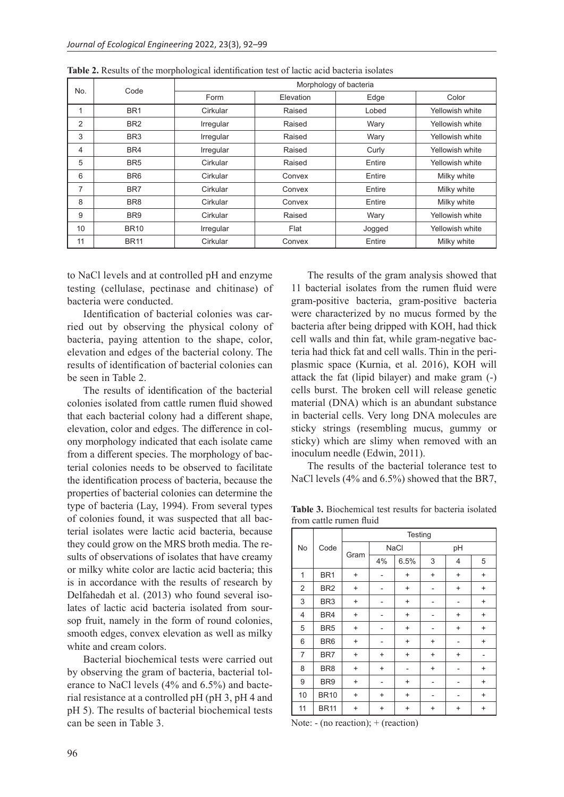| No.<br>Code    | Morphology of bacteria |           |           |        |                 |  |
|----------------|------------------------|-----------|-----------|--------|-----------------|--|
|                |                        | Form      | Elevation | Edge   | Color           |  |
| 1              | BR <sub>1</sub>        | Cirkular  | Raised    | Lobed  | Yellowish white |  |
| $\overline{2}$ | BR <sub>2</sub>        | Irregular | Raised    | Wary   | Yellowish white |  |
| 3              | BR <sub>3</sub>        | Irregular | Raised    | Wary   | Yellowish white |  |
| 4              | BR4                    | Irregular | Raised    | Curly  | Yellowish white |  |
| 5              | BR <sub>5</sub>        | Cirkular  | Raised    | Entire | Yellowish white |  |
| 6              | BR <sub>6</sub>        | Cirkular  | Convex    | Entire | Milky white     |  |
| 7              | BR7                    | Cirkular  | Convex    | Entire | Milky white     |  |
| 8              | BR <sub>8</sub>        | Cirkular  | Convex    | Entire | Milky white     |  |
| 9              | BR <sub>9</sub>        | Cirkular  | Raised    | Wary   | Yellowish white |  |
| 10             | <b>BR10</b>            | Irregular | Flat      | Jogged | Yellowish white |  |
| 11             | <b>BR11</b>            | Cirkular  | Convex    | Entire | Milky white     |  |

**Table 2.** Results of the morphological identification test of lactic acid bacteria isolates

to NaCl levels and at controlled pH and enzyme testing (cellulase, pectinase and chitinase) of bacteria were conducted.

Identification of bacterial colonies was carried out by observing the physical colony of bacteria, paying attention to the shape, color, elevation and edges of the bacterial colony. The results of identification of bacterial colonies can be seen in Table 2.

The results of identification of the bacterial colonies isolated from cattle rumen fluid showed that each bacterial colony had a different shape, elevation, color and edges. The difference in colony morphology indicated that each isolate came from a different species. The morphology of bacterial colonies needs to be observed to facilitate the identification process of bacteria, because the properties of bacterial colonies can determine the type of bacteria (Lay, 1994). From several types of colonies found, it was suspected that all bacterial isolates were lactic acid bacteria, because they could grow on the MRS broth media. The results of observations of isolates that have creamy or milky white color are lactic acid bacteria; this is in accordance with the results of research by Delfahedah et al. (2013) who found several isolates of lactic acid bacteria isolated from soursop fruit, namely in the form of round colonies, smooth edges, convex elevation as well as milky white and cream colors.

Bacterial biochemical tests were carried out by observing the gram of bacteria, bacterial tolerance to NaCl levels (4% and 6.5%) and bacterial resistance at a controlled pH (pH 3, pH 4 and pH 5). The results of bacterial biochemical tests can be seen in Table 3.

The results of the gram analysis showed that 11 bacterial isolates from the rumen fluid were gram-positive bacteria, gram-positive bacteria were characterized by no mucus formed by the bacteria after being dripped with KOH, had thick cell walls and thin fat, while gram-negative bacteria had thick fat and cell walls. Thin in the periplasmic space (Kurnia, et al. 2016), KOH will attack the fat (lipid bilayer) and make gram (-) cells burst. The broken cell will release genetic material (DNA) which is an abundant substance in bacterial cells. Very long DNA molecules are sticky strings (resembling mucus, gummy or sticky) which are slimy when removed with an inoculum needle (Edwin, 2011).

The results of the bacterial tolerance test to NaCl levels (4% and 6.5%) showed that the BR7,

**Table 3.** Biochemical test results for bacteria isolated from cattle rumen fluid

|                | Code            | Testing                          |                          |           |                |           |           |
|----------------|-----------------|----------------------------------|--------------------------|-----------|----------------|-----------|-----------|
| No             |                 | Gram                             | <b>NaCl</b>              |           | pH             |           |           |
|                |                 |                                  | 4%                       | 6.5%      | 3              | 4         | 5         |
| 1              | BR <sub>1</sub> | $\ddot{}$                        |                          | $\ddot{}$ | $\ddot{}$      | $\ddot{}$ | $\ddot{}$ |
| 2              | BR <sub>2</sub> | $\ddot{}$                        |                          | $\ddot{}$ |                | $\ddot{}$ | $\ddot{}$ |
| 3              | BR <sub>3</sub> | $\ddot{}$                        |                          | $\ddot{}$ |                |           | $\ddot{}$ |
| $\overline{4}$ | BR4             | $\ddot{}$                        |                          | $\ddot{}$ |                | $\ddot{}$ | $\ddot{}$ |
| 5              | BR <sub>5</sub> | $\ddot{}$                        | $\overline{\phantom{0}}$ | $\ddot{}$ | -              | $\ddot{}$ | $\ddot{}$ |
| 6              | BR <sub>6</sub> | $\begin{array}{c} + \end{array}$ |                          | $\ddot{}$ | $\ddot{}$      |           | $\ddot{}$ |
| 7              | BR7             | $\begin{array}{c} + \end{array}$ | $\ddot{}$                | $\ddot{}$ | $\ddot{}$      | $\ddot{}$ |           |
| 8              | BR <sub>8</sub> | $\begin{array}{c} + \end{array}$ | $\ddot{}$                | ٠         | $\ddot{}$      | -         | $\ddot{}$ |
| 9              | BR <sub>9</sub> | $\ddot{}$                        | $\overline{\phantom{0}}$ | $\ddot{}$ | $\blacksquare$ | -         | $\ddot{}$ |
| 10             | <b>BR10</b>     | $\ddot{}$                        | $\ddot{}$                | $\ddot{}$ |                |           | $\ddot{}$ |
| 11             | <b>BR11</b>     | $\ddot{}$                        | +                        | $\ddot{}$ | $\ddot{}$      | $\ddot{}$ | $\ddot{}$ |

Note:  $-$  (no reaction);  $+$  (reaction)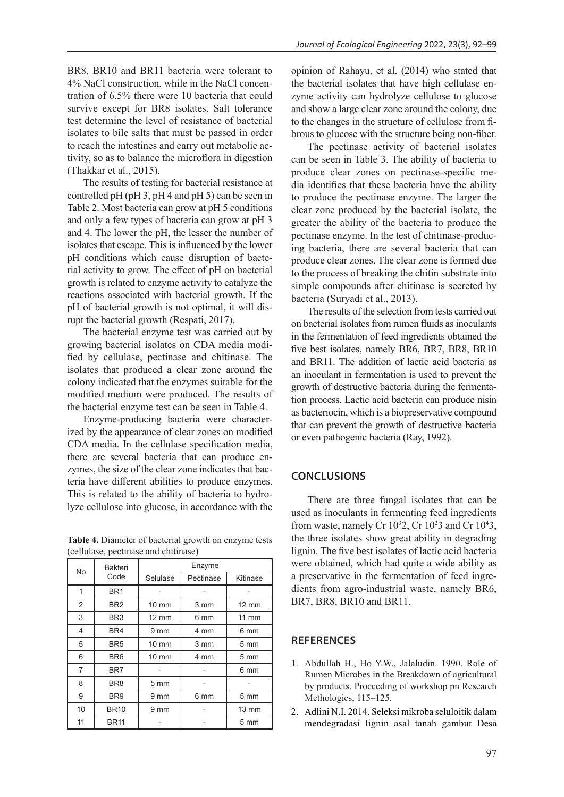BR8, BR10 and BR11 bacteria were tolerant to 4% NaCl construction, while in the NaCl concentration of 6.5% there were 10 bacteria that could survive except for BR8 isolates. Salt tolerance test determine the level of resistance of bacterial isolates to bile salts that must be passed in order to reach the intestines and carry out metabolic activity, so as to balance the microflora in digestion (Thakkar et al., 2015).

The results of testing for bacterial resistance at controlled pH (pH 3, pH 4 and pH 5) can be seen in Table 2. Most bacteria can grow at pH 5 conditions and only a few types of bacteria can grow at pH 3 and 4. The lower the pH, the lesser the number of isolates that escape. This is influenced by the lower pH conditions which cause disruption of bacterial activity to grow. The effect of pH on bacterial growth is related to enzyme activity to catalyze the reactions associated with bacterial growth. If the pH of bacterial growth is not optimal, it will disrupt the bacterial growth (Respati, 2017).

The bacterial enzyme test was carried out by growing bacterial isolates on CDA media modified by cellulase, pectinase and chitinase. The isolates that produced a clear zone around the colony indicated that the enzymes suitable for the modified medium were produced. The results of the bacterial enzyme test can be seen in Table 4.

Enzyme-producing bacteria were characterized by the appearance of clear zones on modified CDA media. In the cellulase specification media, there are several bacteria that can produce enzymes, the size of the clear zone indicates that bacteria have different abilities to produce enzymes. This is related to the ability of bacteria to hydrolyze cellulose into glucose, in accordance with the

**Table 4.** Diameter of bacterial growth on enzyme tests (cellulase, pectinase and chitinase)

| No | <b>Bakteri</b><br>Code | Enzyme          |           |                 |  |  |
|----|------------------------|-----------------|-----------|-----------------|--|--|
|    |                        | Selulase        | Pectinase | Kitinase        |  |  |
| 1  | BR <sub>1</sub>        |                 |           |                 |  |  |
| 2  | BR <sub>2</sub>        | $10 \text{ mm}$ | 3 mm      | $12 \text{ mm}$ |  |  |
| 3  | BR <sub>3</sub>        | $12 \text{ mm}$ | 6 mm      | $11$ mm         |  |  |
| 4  | BR4                    | $9 \text{ mm}$  | 4 mm      | 6 mm            |  |  |
| 5  | BR <sub>5</sub>        | $10 \text{ mm}$ | 3 mm      | $5 \text{ mm}$  |  |  |
| 6  | BR <sub>6</sub>        | $10 \text{ mm}$ | 4 mm      | $5 \text{ mm}$  |  |  |
| 7  | BR7                    |                 |           | 6 mm            |  |  |
| 8  | BR <sub>8</sub>        | 5 <sub>mm</sub> |           |                 |  |  |
| 9  | BR <sub>9</sub>        | $9 \text{ mm}$  | 6 mm      | $5 \text{ mm}$  |  |  |
| 10 | <b>BR10</b>            | 9 mm            |           | $13 \text{ mm}$ |  |  |
| 11 | <b>BR11</b>            |                 |           | $5 \text{ mm}$  |  |  |

opinion of Rahayu, et al. (2014) who stated that the bacterial isolates that have high cellulase enzyme activity can hydrolyze cellulose to glucose and show a large clear zone around the colony, due to the changes in the structure of cellulose from fibrous to glucose with the structure being non-fiber.

The pectinase activity of bacterial isolates can be seen in Table 3. The ability of bacteria to produce clear zones on pectinase-specific media identifies that these bacteria have the ability to produce the pectinase enzyme. The larger the clear zone produced by the bacterial isolate, the greater the ability of the bacteria to produce the pectinase enzyme. In the test of chitinase-producing bacteria, there are several bacteria that can produce clear zones. The clear zone is formed due to the process of breaking the chitin substrate into simple compounds after chitinase is secreted by bacteria (Suryadi et al., 2013).

The results of the selection from tests carried out on bacterial isolates from rumen fluids as inoculants in the fermentation of feed ingredients obtained the five best isolates, namely BR6, BR7, BR8, BR10 and BR11. The addition of lactic acid bacteria as an inoculant in fermentation is used to prevent the growth of destructive bacteria during the fermentation process. Lactic acid bacteria can produce nisin as bacteriocin, which is a biopreservative compound that can prevent the growth of destructive bacteria or even pathogenic bacteria (Ray, 1992).

### **CONCLUSIONS**

There are three fungal isolates that can be used as inoculants in fermenting feed ingredients from waste, namely Cr  $10<sup>3</sup>2$ , Cr  $10<sup>2</sup>3$  and Cr  $10<sup>4</sup>3$ , the three isolates show great ability in degrading lignin. The five best isolates of lactic acid bacteria were obtained, which had quite a wide ability as a preservative in the fermentation of feed ingredients from agro-industrial waste, namely BR6, BR7, BR8, BR10 and BR11.

# **REFERENCES**

- 1. Abdullah H., Ho Y.W., Jalaludin. 1990. Role of Rumen Microbes in the Breakdown of agricultural by products. Proceeding of workshop pn Research Methologies, 115–125.
- 2. Adlini N.I. 2014. Seleksi mikroba seluloitik dalam mendegradasi lignin asal tanah gambut Desa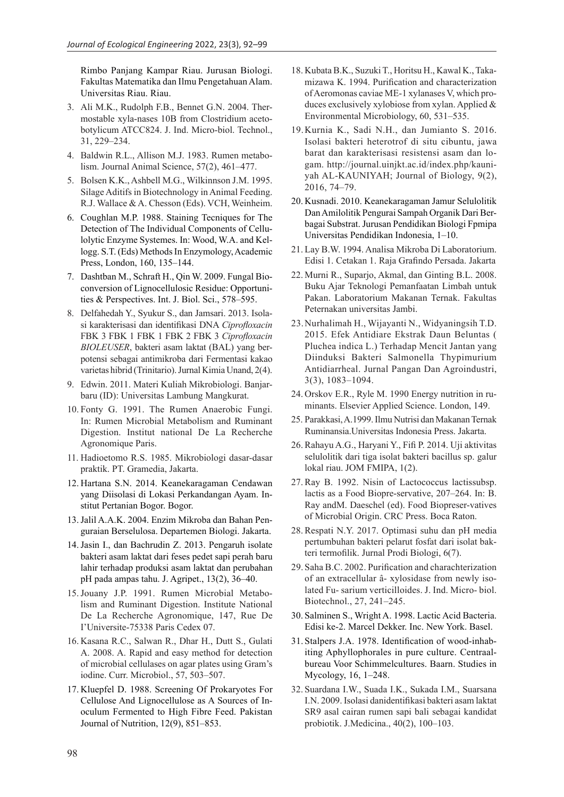Rimbo Panjang Kampar Riau. Jurusan Biologi. Fakultas Matematika dan Ilmu Pengetahuan Alam. Universitas Riau. Riau.

- 3. Ali M.K., Rudolph F.B., Bennet G.N. 2004. Thermostable xyla-nases 10B from Clostridium acetobotylicum ATCC824. J. Ind. Micro-biol. Technol., 31, 229–234.
- 4. Baldwin R.L., Allison M.J. 1983. Rumen metabolism. Journal Animal Science, 57(2), 461–477.
- 5. Bolsen K.K., Ashbell M.G., Wilkinnson J.M. 1995. Silage Aditifs in Biotechnology in Animal Feeding. R.J. Wallace & A. Chesson (Eds). VCH, Weinheim.
- 6. Coughlan M.P. 1988. Staining Tecniques for The Detection of The Individual Components of Cellulolytic Enzyme Systemes. In: Wood, W.A. and Kellogg. S.T. (Eds) Methods In Enzymology, Academic Press, London, 160, 135–144.
- 7. Dashtban M., Schraft H., Qin W. 2009. Fungal Bioconversion of Lignocellulosic Residue: Opportunities & Perspectives. Int. J. Biol. Sci., 578–595.
- 8. Delfahedah Y., Syukur S., dan Jamsari. 2013. Isolasi karakterisasi dan identifikasi DNA *Ciprofloxacin* FBK 3 FBK 1 FBK 1 FBK 2 FBK 3 *Ciprofloxacin BIOLEUSER*, bakteri asam laktat (BAL) yang berpotensi sebagai antimikroba dari Fermentasi kakao varietas hibrid (Trinitario). Jurnal Kimia Unand, 2(4).
- 9. Edwin. 2011. Materi Kuliah Mikrobiologi. Banjarbaru (ID): Universitas Lambung Mangkurat.
- 10. Fonty G. 1991. The Rumen Anaerobic Fungi. In: Rumen Microbial Metabolism and Ruminant Digestion. Institut national De La Recherche Agronomique Paris.
- 11. Hadioetomo R.S. 1985. Mikrobiologi dasar-dasar praktik. PT. Gramedia, Jakarta.
- 12. Hartana S.N. 2014. Keanekaragaman Cendawan yang Diisolasi di Lokasi Perkandangan Ayam. Institut Pertanian Bogor. Bogor.
- 13.Jalil A.A.K. 2004. Enzim Mikroba dan Bahan Penguraian Berselulosa. Departemen Biologi. Jakarta.
- 14.Jasin I., dan Bachrudin Z. 2013. Pengaruh isolate bakteri asam laktat dari feses pedet sapi perah baru lahir terhadap produksi asam laktat dan perubahan pH pada ampas tahu. J. Agripet., 13(2), 36–40.
- 15.Jouany J.P. 1991. Rumen Microbial Metabolism and Ruminant Digestion. Institute National De La Recherche Agronomique, 147, Rue De I'Universite-75338 Paris Cedex 07.
- 16. Kasana R.C., Salwan R., Dhar H., Dutt S., Gulati A. 2008. A. Rapid and easy method for detection of microbial cellulases on agar plates using Gram's iodine. Curr. Microbiol., 57, 503–507.
- 17. Kluepfel D. 1988. Screening Of Prokaryotes For Cellulose And Lignocellulose as A Sources of Inoculum Fermented to High Fibre Feed. Pakistan Journal of Nutrition, 12(9), 851–853.
- 18. Kubata B.K., Suzuki T., Horitsu H., Kawal K., Takamizawa K. 1994. Purification and characterization of Aeromonas caviae ME-1 xylanases V, which produces exclusively xylobiose from xylan. Applied & Environmental Microbiology, 60, 531–535.
- 19.Kurnia K., Sadi N.H., dan Jumianto S. 2016. Isolasi bakteri heterotrof di situ cibuntu, jawa barat dan karakterisasi resistensi asam dan logam. http://journal.uinjkt.ac.id/index.php/kauniyah AL-KAUNIYAH; Journal of Biology, 9(2), 2016, 74–79.
- 20. Kusnadi. 2010. Keanekaragaman Jamur Selulolitik Dan Amilolitik Pengurai Sampah Organik Dari Berbagai Substrat. Jurusan Pendidikan Biologi Fpmipa Universitas Pendidikan Indonesia, 1–10.
- 21. Lay B.W. 1994. Analisa Mikroba Di Laboratorium. Edisi 1. Cetakan 1. Raja Grafindo Persada. Jakarta
- 22. Murni R., Suparjo, Akmal, dan Ginting B.L. 2008. Buku Ajar Teknologi Pemanfaatan Limbah untuk Pakan. Laboratorium Makanan Ternak. Fakultas Peternakan universitas Jambi.
- 23.Nurhalimah H., Wijayanti N., Widyaningsih T.D. 2015. Efek Antidiare Ekstrak Daun Beluntas ( Pluchea indica L.) Terhadap Mencit Jantan yang Diinduksi Bakteri Salmonella Thypimurium Antidiarrheal. Jurnal Pangan Dan Agroindustri, 3(3), 1083–1094.
- 24. Orskov E.R., Ryle M. 1990 Energy nutrition in ruminants. Elsevier Applied Science. London, 149.
- 25. Parakkasi, A.1999. Ilmu Nutrisi dan Makanan Ternak Ruminansia.Universitas Indonesia Press. Jakarta.
- 26. Rahayu A.G., Haryani Y., Fifi P. 2014. Uji aktivitas selulolitik dari tiga isolat bakteri bacillus sp. galur lokal riau. JOM FMIPA, 1(2).
- 27.Ray B. 1992. Nisin of Lactococcus lactissubsp. lactis as a Food Biopre-servative, 207–264. In: B. Ray andM. Daeschel (ed). Food Biopreser-vatives of Microbial Origin. CRC Press. Boca Raton.
- 28.Respati N.Y. 2017. Optimasi suhu dan pH media pertumbuhan bakteri pelarut fosfat dari isolat bakteri termofilik. Jurnal Prodi Biologi, 6(7).
- 29. Saha B.C. 2002. Purification and charachterization of an extracellular â- xylosidase from newly isolated Fu- sarium verticilloides. J. Ind. Micro- biol. Biotechnol., 27, 241–245.
- 30. Salminen S., Wright A. 1998. Lactic Acid Bacteria. Edisi ke-2. Marcel Dekker. Inc. New York. Basel.
- 31. Stalpers J.A. 1978. Identification of wood-inhabiting Aphyllophorales in pure culture. Centraalbureau Voor Schimmelcultures. Baarn. Studies in Mycology, 16, 1–248.
- 32. Suardana I.W., Suada I.K., Sukada I.M., Suarsana I.N. 2009. Isolasi danidentifikasi bakteri asam laktat SR9 asal cairan rumen sapi bali sebagai kandidat probiotik. J.Medicina., 40(2), 100–103.